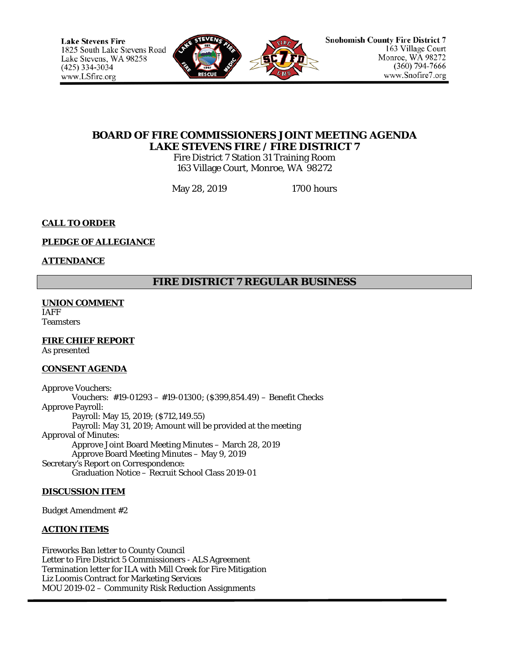

# **BOARD OF FIRE COMMISSIONERS JOINT MEETING AGENDA LAKE STEVENS FIRE / FIRE DISTRICT 7**

Fire District 7 Station 31 Training Room 163 Village Court, Monroe, WA 98272

May 28, 2019 1700 hours

# **CALL TO ORDER**

## **PLEDGE OF ALLEGIANCE**

### **ATTENDANCE**

# **FIRE DISTRICT 7 REGULAR BUSINESS**

#### **UNION COMMENT** IAFF

**Teamsters** 

## **FIRE CHIEF REPORT**

As presented

#### **CONSENT AGENDA**

Approve Vouchers: Vouchers: #19-01293 – #19-01300; (\$399,854.49) – Benefit Checks Approve Payroll: Payroll: May 15, 2019; (\$712,149.55) Payroll: May 31, 2019; Amount will be provided at the meeting Approval of Minutes: Approve Joint Board Meeting Minutes – March 28, 2019 Approve Board Meeting Minutes – May 9, 2019 Secretary's Report on Correspondence: Graduation Notice – Recruit School Class 2019-01

## **DISCUSSION ITEM**

Budget Amendment #2

#### **ACTION ITEMS**

Fireworks Ban letter to County Council Letter to Fire District 5 Commissioners - ALS Agreement Termination letter for ILA with Mill Creek for Fire Mitigation Liz Loomis Contract for Marketing Services MOU 2019-02 – Community Risk Reduction Assignments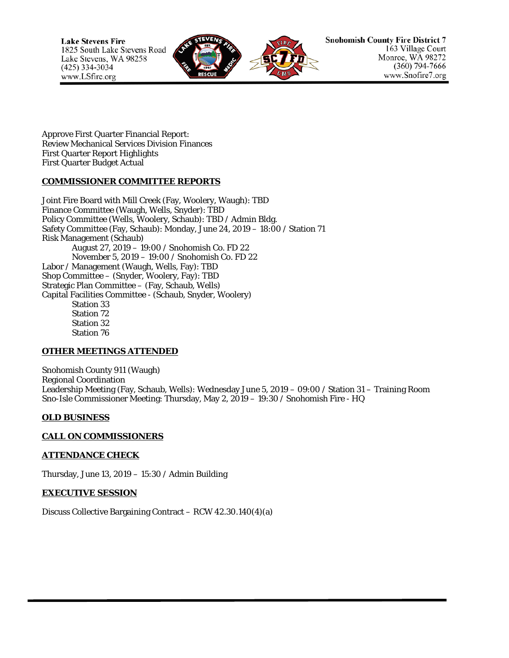**Lake Stevens Fire** 1825 South Lake Stevens Road Lake Stevens, WA 98258  $(425)$  334-3034 www.LSfire.org



Approve First Quarter Financial Report: Review Mechanical Services Division Finances First Quarter Report Highlights First Quarter Budget Actual

### **COMMISSIONER COMMITTEE REPORTS**

Joint Fire Board with Mill Creek (Fay, Woolery, Waugh): TBD Finance Committee (Waugh, Wells, Snyder): TBD Policy Committee (Wells, Woolery, Schaub): TBD / Admin Bldg. Safety Committee (Fay, Schaub): Monday, June 24, 2019 – 18:00 / Station 71 Risk Management (Schaub) August 27, 2019 – 19:00 / Snohomish Co. FD 22 November 5, 2019 – 19:00 / Snohomish Co. FD 22 Labor / Management (Waugh, Wells, Fay): TBD Shop Committee – (Snyder, Woolery, Fay): TBD Strategic Plan Committee – (Fay, Schaub, Wells) Capital Facilities Committee - (Schaub, Snyder, Woolery) Station 33 Station 72 Station 32 Station 76

#### **OTHER MEETINGS ATTENDED**

Snohomish County 911 (Waugh) Regional Coordination Leadership Meeting (Fay, Schaub, Wells): Wednesday June 5, 2019 – 09:00 / Station 31 – Training Room Sno-Isle Commissioner Meeting: Thursday, May 2, 2019 – 19:30 / Snohomish Fire - HQ

#### **OLD BUSINESS**

#### **CALL ON COMMISSIONERS**

#### **ATTENDANCE CHECK**

Thursday, June 13, 2019 – 15:30 / Admin Building

#### **EXECUTIVE SESSION**

Discuss Collective Bargaining Contract – RCW 42.30.140(4)(a)